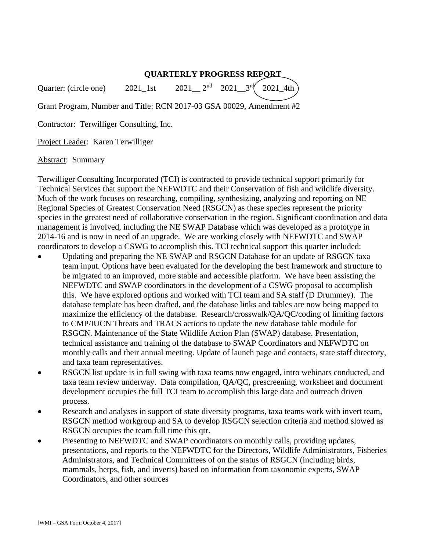## **QUARTERLY PROGRESS REPORT**

Quarter: (circle one)  $2021$ <sup>1st</sup> 2021  $2^{nd}$  2021  $3^{rd}$ 2021\_4th

Grant Program, Number and Title: RCN 2017-03 GSA 00029, Amendment #2

Contractor: Terwilliger Consulting, Inc.

Project Leader: Karen Terwilliger

Abstract: Summary

Terwilliger Consulting Incorporated (TCI) is contracted to provide technical support primarily for Technical Services that support the NEFWDTC and their Conservation of fish and wildlife diversity. Much of the work focuses on researching, compiling, synthesizing, analyzing and reporting on NE Regional Species of Greatest Conservation Need (RSGCN) as these species represent the priority species in the greatest need of collaborative conservation in the region. Significant coordination and data management is involved, including the NE SWAP Database which was developed as a prototype in 2014-16 and is now in need of an upgrade. We are working closely with NEFWDTC and SWAP coordinators to develop a CSWG to accomplish this. TCI technical support this quarter included:

- Updating and preparing the NE SWAP and RSGCN Database for an update of RSGCN taxa team input. Options have been evaluated for the developing the best framework and structure to be migrated to an improved, more stable and accessible platform. We have been assisting the NEFWDTC and SWAP coordinators in the development of a CSWG proposal to accomplish this. We have explored options and worked with TCI team and SA staff (D Drummey). The database template has been drafted, and the database links and tables are now being mapped to maximize the efficiency of the database. Research/crosswalk/QA/QC/coding of limiting factors to CMP/IUCN Threats and TRACS actions to update the new database table module for RSGCN. Maintenance of the State Wildlife Action Plan (SWAP) database. Presentation, technical assistance and training of the database to SWAP Coordinators and NEFWDTC on monthly calls and their annual meeting. Update of launch page and contacts, state staff directory, and taxa team representatives.
- RSGCN list update is in full swing with taxa teams now engaged, intro webinars conducted, and taxa team review underway. Data compilation, QA/QC, prescreening, worksheet and document development occupies the full TCI team to accomplish this large data and outreach driven process.
- Research and analyses in support of state diversity programs, taxa teams work with invert team, RSGCN method workgroup and SA to develop RSGCN selection criteria and method slowed as RSGCN occupies the team full time this qtr.
- Presenting to NEFWDTC and SWAP coordinators on monthly calls, providing updates, presentations, and reports to the NEFWDTC for the Directors, Wildlife Administrators, Fisheries Administrators, and Technical Committees of on the status of RSGCN (including birds, mammals, herps, fish, and inverts) based on information from taxonomic experts, SWAP Coordinators, and other sources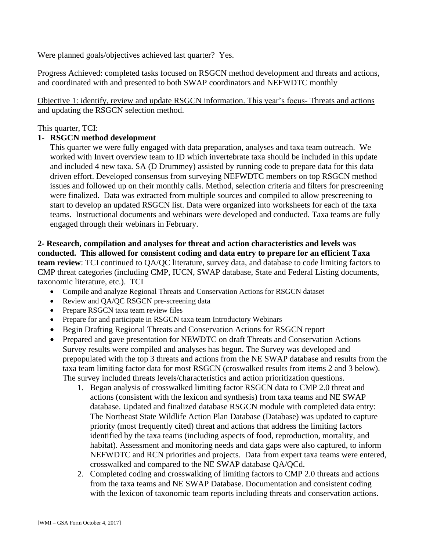Were planned goals/objectives achieved last quarter? Yes.

Progress Achieved: completed tasks focused on RSGCN method development and threats and actions, and coordinated with and presented to both SWAP coordinators and NEFWDTC monthly

Objective 1: identify, review and update RSGCN information. This year's focus- Threats and actions and updating the RSGCN selection method.

This quarter, TCI:

## **1- RSGCN method development**

This quarter we were fully engaged with data preparation, analyses and taxa team outreach. We worked with Invert overview team to ID which invertebrate taxa should be included in this update and included 4 new taxa. SA (D Drummey) assisted by running code to prepare data for this data driven effort. Developed consensus from surveying NEFWDTC members on top RSGCN method issues and followed up on their monthly calls. Method, selection criteria and filters for prescreening were finalized. Data was extracted from multiple sources and compiled to allow prescreening to start to develop an updated RSGCN list. Data were organized into worksheets for each of the taxa teams. Instructional documents and webinars were developed and conducted. Taxa teams are fully engaged through their webinars in February.

**2- Research, compilation and analyses for threat and action characteristics and levels was conducted. This allowed for consistent coding and data entry to prepare for an efficient Taxa team review**: TCI continued to QA/QC literature, survey data, and database to code limiting factors to CMP threat categories (including CMP, IUCN, SWAP database, State and Federal Listing documents, taxonomic literature, etc.). TCI

- Compile and analyze Regional Threats and Conservation Actions for RSGCN dataset
- Review and QA/QC RSGCN pre-screening data
- Prepare RSGCN taxa team review files
- Prepare for and participate in RSGCN taxa team Introductory Webinars
- Begin Drafting Regional Threats and Conservation Actions for RSGCN report
- Prepared and gave presentation for NEWDTC on draft Threats and Conservation Actions Survey results were compiled and analyses has begun. The Survey was developed and prepopulated with the top 3 threats and actions from the NE SWAP database and results from the taxa team limiting factor data for most RSGCN (croswalked results from items 2 and 3 below). The survey included threats levels/characteristics and action prioritization questions.
	- 1. Began analysis of crosswalked limiting factor RSGCN data to CMP 2.0 threat and actions (consistent with the lexicon and synthesis) from taxa teams and NE SWAP database. Updated and finalized database RSGCN module with completed data entry: The Northeast State Wildlife Action Plan Database (Database) was updated to capture priority (most frequently cited) threat and actions that address the limiting factors identified by the taxa teams (including aspects of food, reproduction, mortality, and habitat). Assessment and monitoring needs and data gaps were also captured, to inform NEFWDTC and RCN priorities and projects. Data from expert taxa teams were entered, crosswalked and compared to the NE SWAP database QA/QCd.
	- 2. Completed coding and crosswalking of limiting factors to CMP 2.0 threats and actions from the taxa teams and NE SWAP Database. Documentation and consistent coding with the lexicon of taxonomic team reports including threats and conservation actions.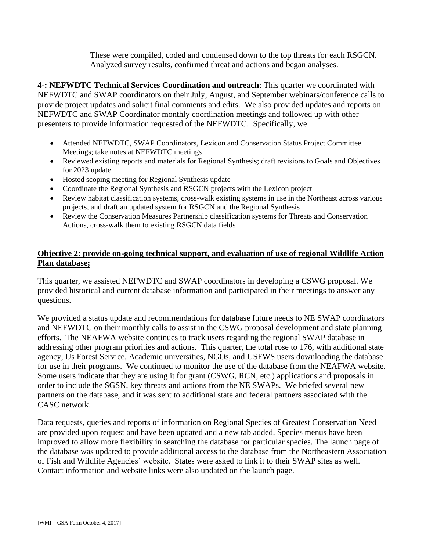These were compiled, coded and condensed down to the top threats for each RSGCN. Analyzed survey results, confirmed threat and actions and began analyses.

**4-: NEFWDTC Technical Services Coordination and outreach**: This quarter we coordinated with NEFWDTC and SWAP coordinators on their July, August, and September webinars/conference calls to provide project updates and solicit final comments and edits. We also provided updates and reports on NEFWDTC and SWAP Coordinator monthly coordination meetings and followed up with other presenters to provide information requested of the NEFWDTC. Specifically, we

- Attended NEFWDTC, SWAP Coordinators, Lexicon and Conservation Status Project Committee Meetings; take notes at NEFWDTC meetings
- Reviewed existing reports and materials for Regional Synthesis; draft revisions to Goals and Objectives for 2023 update
- Hosted scoping meeting for Regional Synthesis update
- Coordinate the Regional Synthesis and RSGCN projects with the Lexicon project
- Review habitat classification systems, cross-walk existing systems in use in the Northeast across various projects, and draft an updated system for RSGCN and the Regional Synthesis
- Review the Conservation Measures Partnership classification systems for Threats and Conservation Actions, cross-walk them to existing RSGCN data fields

# **Objective 2: provide on-going technical support, and evaluation of use of regional Wildlife Action Plan database;**

This quarter, we assisted NEFWDTC and SWAP coordinators in developing a CSWG proposal. We provided historical and current database information and participated in their meetings to answer any questions.

We provided a status update and recommendations for database future needs to NE SWAP coordinators and NEFWDTC on their monthly calls to assist in the CSWG proposal development and state planning efforts. The NEAFWA website continues to track users regarding the regional SWAP database in addressing other program priorities and actions. This quarter, the total rose to 176, with additional state agency, Us Forest Service, Academic universities, NGOs, and USFWS users downloading the database for use in their programs. We continued to monitor the use of the database from the NEAFWA website. Some users indicate that they are using it for grant (CSWG, RCN, etc.) applications and proposals in order to include the SGSN, key threats and actions from the NE SWAPs. We briefed several new partners on the database, and it was sent to additional state and federal partners associated with the CASC network.

Data requests, queries and reports of information on Regional Species of Greatest Conservation Need are provided upon request and have been updated and a new tab added. Species menus have been improved to allow more flexibility in searching the database for particular species. The launch page of the database was updated to provide additional access to the database from the Northeastern Association of Fish and Wildlife Agencies' website. States were asked to link it to their SWAP sites as well. Contact information and website links were also updated on the launch page.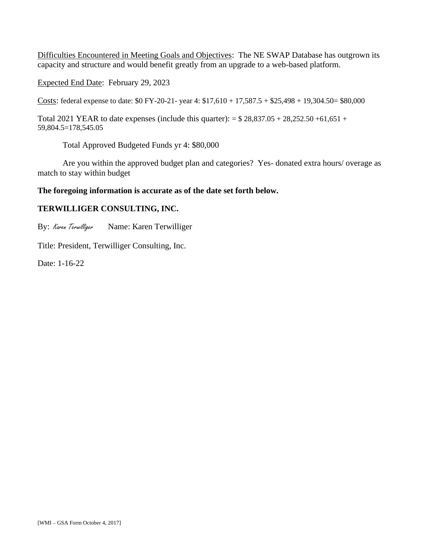Difficulties Encountered in Meeting Goals and Objectives: The NE SWAP Database has outgrown its capacity and structure and would benefit greatly from an upgrade to a web-based platform.

Expected End Date: February 29, 2023

Costs: federal expense to date: \$0 FY-20-21- year 4: \$17,610 + 17,587.5 + \$25,498 + 19,304.50= \$80,000

Total 2021 YEAR to date expenses (include this quarter):  $= $28,837.05 + 28,252.50 + 61,651 +$ 59,804.5=178,545.05

Total Approved Budgeted Funds yr 4: \$80,000

Are you within the approved budget plan and categories? Yes- donated extra hours/ overage as match to stay within budget

#### **The foregoing information is accurate as of the date set forth below.**

#### **TERWILLIGER CONSULTING, INC.**

By: Karen Terwilliger Name: Karen Terwilliger

Title: President, Terwilliger Consulting, Inc.

Date: 1-16-22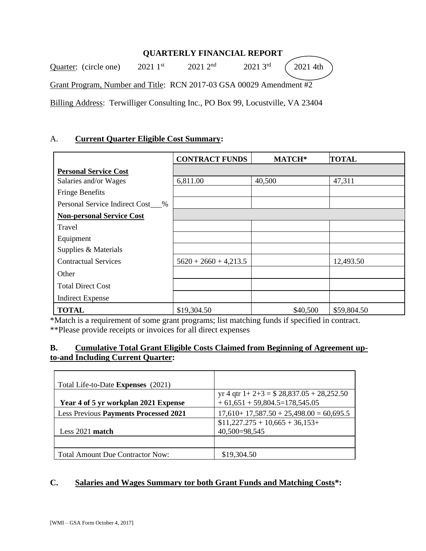# **QUARTERLY FINANCIAL REPORT**

Quarter: (circle one) 2021 1<sup>st</sup>  $120212^{nd}$  $20213$ <sup>rd</sup> 2021 4th Grant Program, Number and Title: RCN 2017-03 GSA 00029 Amendment #2 Billing Address: Terwilliger Consulting Inc., PO Box 99, Locustville, VA 23404

### A. **Current Quarter Eligible Cost Summary:**

|                                  | <b>CONTRACT FUNDS</b>   | MATCH*   | <b>TOTAL</b> |
|----------------------------------|-------------------------|----------|--------------|
| <b>Personal Service Cost</b>     |                         |          |              |
| Salaries and/or Wages            | 6,811.00                | 40,500   | 47,311       |
| <b>Fringe Benefits</b>           |                         |          |              |
| Personal Service Indirect Cost % |                         |          |              |
| <b>Non-personal Service Cost</b> |                         |          |              |
| Travel                           |                         |          |              |
| Equipment                        |                         |          |              |
| Supplies & Materials             |                         |          |              |
| <b>Contractual Services</b>      | $5620 + 2660 + 4,213.5$ |          | 12,493.50    |
| Other                            |                         |          |              |
| <b>Total Direct Cost</b>         |                         |          |              |
| <b>Indirect Expense</b>          |                         |          |              |
| <b>TOTAL</b>                     | \$19,304.50             | \$40,500 | \$59,804.50  |

\*Match is a requirement of some grant programs; list matching funds if specified in contract. \*\*Please provide receipts or invoices for all direct expenses

## **B. Cumulative Total Grant Eligible Costs Claimed from Beginning of Agreement upto-and Including Current Quarter:**

| Total Life-to-Date Expenses (2021)           |                                                                                |
|----------------------------------------------|--------------------------------------------------------------------------------|
| Year 4 of 5 yr workplan 2021 Expense         | yr 4 qtr $1+2+3 = $28,837.05 + 28,252.50$<br>$+61,651 + 59,804.5 = 178,545.05$ |
| <b>Less Previous Payments Processed 2021</b> | $17,610+17,587.50+25,498.00=60,695.5$                                          |
| Less 2021 match                              | $$11,227.275 + 10,665 + 36,153+$<br>40,500=98,545                              |
|                                              |                                                                                |
| <b>Total Amount Due Contractor Now:</b>      | \$19,304.50                                                                    |

### **C. Salaries and Wages Summary tor both Grant Funds and Matching Costs\*:**